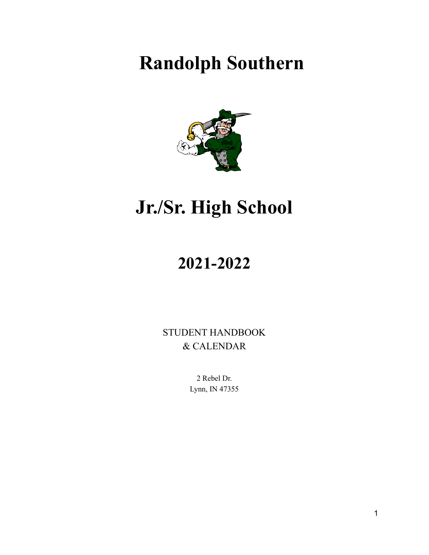# **Randolph Southern**



# **Jr./Sr. High School**

# **2021-2022**

STUDENT HANDBOOK & CALENDAR

> 2 Rebel Dr. Lynn, IN 47355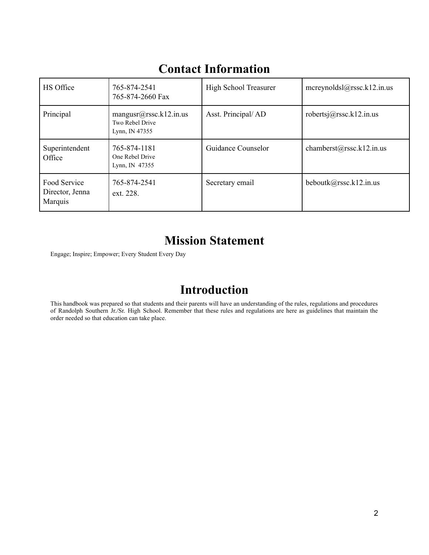| HS Office                                  | 765-874-2541<br>765-874-2660 Fax                            | High School Treasurer | mcreynoldsl $@$ rssc.k12.in.us |
|--------------------------------------------|-------------------------------------------------------------|-----------------------|--------------------------------|
| Principal                                  | mangusr@rssc.k12.in.us<br>Two Rebel Drive<br>Lynn, IN 47355 | Asst. Principal/AD    | robertsj@rssc.k12.in.us        |
| Superintendent<br>Office                   | 765-874-1181<br>One Rebel Drive<br>Lynn, IN $47355$         | Guidance Counselor    | chamberst@rssc.k12.in.us       |
| Food Service<br>Director, Jenna<br>Marquis | 765-874-2541<br>ext. 228.                                   | Secretary email       | beboutk@rssc.k12.in.us         |

## **Contact Information**

## **Mission Statement**

Engage; Inspire; Empower; Every Student Every Day

## **Introduction**

This handbook was prepared so that students and their parents will have an understanding of the rules, regulations and procedures of Randolph Southern Jr./Sr. High School. Remember that these rules and regulations are here as guidelines that maintain the order needed so that education can take place.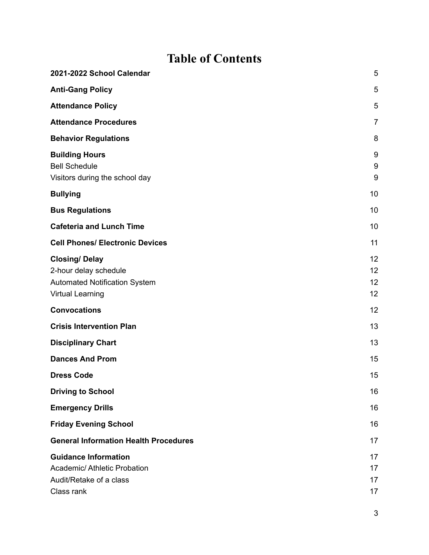## **Table of Contents**

| 2021-2022 School Calendar                                                                                        | 5                    |
|------------------------------------------------------------------------------------------------------------------|----------------------|
| <b>Anti-Gang Policy</b>                                                                                          | 5                    |
| <b>Attendance Policy</b>                                                                                         | 5                    |
| <b>Attendance Procedures</b>                                                                                     | $\overline{7}$       |
| <b>Behavior Regulations</b>                                                                                      | 8                    |
| <b>Building Hours</b><br><b>Bell Schedule</b><br>Visitors during the school day                                  | 9<br>9<br>$9\,$      |
| <b>Bullying</b>                                                                                                  | 10                   |
| <b>Bus Regulations</b>                                                                                           | 10                   |
| <b>Cafeteria and Lunch Time</b>                                                                                  | 10                   |
| <b>Cell Phones/ Electronic Devices</b>                                                                           | 11                   |
| <b>Closing/Delay</b><br>2-hour delay schedule<br><b>Automated Notification System</b><br><b>Virtual Learning</b> | 12<br>12<br>12<br>12 |
| <b>Convocations</b>                                                                                              | 12                   |
| <b>Crisis Intervention Plan</b>                                                                                  | 13                   |
| <b>Disciplinary Chart</b>                                                                                        | 13                   |
| <b>Dances And Prom</b>                                                                                           | 15                   |
| <b>Dress Code</b>                                                                                                | 15                   |
| <b>Driving to School</b>                                                                                         | 16                   |
| <b>Emergency Drills</b>                                                                                          | 16                   |
| <b>Friday Evening School</b>                                                                                     | 16                   |
| <b>General Information Health Procedures</b>                                                                     | 17                   |
| <b>Guidance Information</b><br><b>Academic/ Athletic Probation</b><br>Audit/Retake of a class<br>Class rank      | 17<br>17<br>17<br>17 |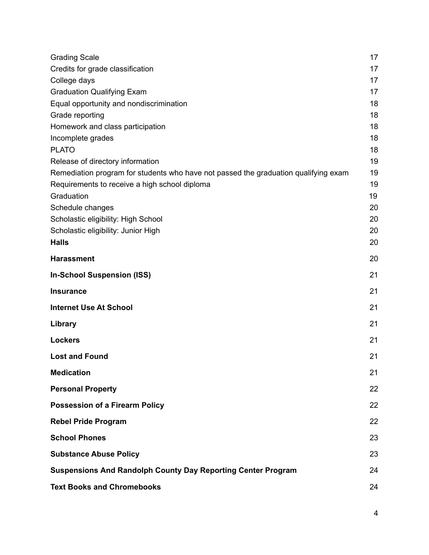| <b>Grading Scale</b>                                                                | 17 |
|-------------------------------------------------------------------------------------|----|
| Credits for grade classification                                                    | 17 |
| College days                                                                        | 17 |
| <b>Graduation Qualifying Exam</b>                                                   | 17 |
| Equal opportunity and nondiscrimination                                             | 18 |
| Grade reporting                                                                     | 18 |
| Homework and class participation                                                    | 18 |
| Incomplete grades                                                                   | 18 |
| <b>PLATO</b>                                                                        | 18 |
| Release of directory information                                                    | 19 |
| Remediation program for students who have not passed the graduation qualifying exam | 19 |
| Requirements to receive a high school diploma                                       | 19 |
| Graduation                                                                          | 19 |
| Schedule changes                                                                    | 20 |
| Scholastic eligibility: High School                                                 | 20 |
| Scholastic eligibility: Junior High                                                 | 20 |
| <b>Halls</b>                                                                        | 20 |
| <b>Harassment</b>                                                                   | 20 |
| <b>In-School Suspension (ISS)</b>                                                   | 21 |
| <b>Insurance</b>                                                                    | 21 |
| <b>Internet Use At School</b>                                                       | 21 |
| Library                                                                             | 21 |
| <b>Lockers</b>                                                                      | 21 |
| <b>Lost and Found</b>                                                               | 21 |
| <b>Medication</b>                                                                   | 21 |
| <b>Personal Property</b>                                                            | 22 |
| <b>Possession of a Firearm Policy</b>                                               | 22 |
| <b>Rebel Pride Program</b>                                                          | 22 |
| <b>School Phones</b>                                                                | 23 |
| <b>Substance Abuse Policy</b>                                                       | 23 |
| <b>Suspensions And Randolph County Day Reporting Center Program</b>                 | 24 |
| <b>Text Books and Chromebooks</b>                                                   | 24 |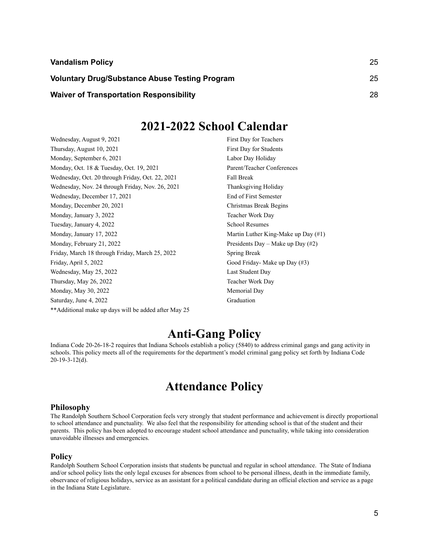| <b>Vandalism Policy</b>                               | 25 |
|-------------------------------------------------------|----|
| <b>Voluntary Drug/Substance Abuse Testing Program</b> | 25 |
| <b>Waiver of Transportation Responsibility</b>        | 28 |

## **2021-2022 School Calendar**

<span id="page-4-0"></span>Wednesday, August 9, 2021 First Day for Teachers Thursday, August 10, 2021 First Day for Students Monday, September 6, 2021 Labor Day Holiday Monday, Oct. 18 & Tuesday, Oct. 19, 2021 Parent/Teacher Conferences Wednesday, Oct. 20 through Friday, Oct. 22, 2021 Fall Break Wednesday, Nov. 24 through Friday, Nov. 26, 2021 Thanksgiving Holiday Wednesday, December 17, 2021 End of First Semester Monday, December 20, 2021 Christmas Break Begins Monday, January 3, 2022 Teacher Work Day Tuesday, January 4, 2022 School Resumes Monday, January 17, 2022 **Martin Luther King-Make up Day** (#1) Monday, February 21, 2022 Presidents Day – Make up Day (#2) Friday, March 18 through Friday, March 25, 2022 Spring Break Friday, April 5, 2022 Good Friday- Make up Day (#3) Wednesday, May 25, 2022 Last Student Day Thursday, May 26, 2022 Teacher Work Day Monday, May 30, 2022 Memorial Day Saturday, June 4, 2022 Graduation \*\*Additional make up days will be added after May 25

## **Anti-Gang Policy**

<span id="page-4-1"></span>Indiana Code 20-26-18-2 requires that Indiana Schools establish a policy (5840) to address criminal gangs and gang activity in schools. This policy meets all of the requirements for the department's model criminal gang policy set forth by Indiana Code 20-19-3-12(d).

## **Attendance Policy**

#### <span id="page-4-2"></span>**Philosophy**

The Randolph Southern School Corporation feels very strongly that student performance and achievement is directly proportional to school attendance and punctuality. We also feel that the responsibility for attending school is that of the student and their parents. This policy has been adopted to encourage student school attendance and punctuality, while taking into consideration unavoidable illnesses and emergencies.

#### **Policy**

Randolph Southern School Corporation insists that students be punctual and regular in school attendance. The State of Indiana and/or school policy lists the only legal excuses for absences from school to be personal illness, death in the immediate family, observance of religious holidays, service as an assistant for a political candidate during an official election and service as a page in the Indiana State Legislature.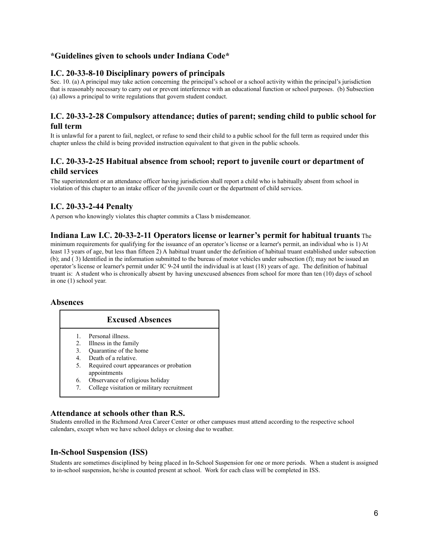### **\*Guidelines given to schools under Indiana Code\***

### **I.C. 20-33-8-10 Disciplinary powers of principals**

Sec. 10. (a) A principal may take action concerning the principal's school or a school activity within the principal's jurisdiction that is reasonably necessary to carry out or prevent interference with an educational function or school purposes. (b) Subsection (a) allows a principal to write regulations that govern student conduct.

### **I.C. 20-33-2-28 Compulsory attendance; duties of parent; sending child to public school for full term**

It is unlawful for a parent to fail, neglect, or refuse to send their child to a public school for the full term as required under this chapter unless the child is being provided instruction equivalent to that given in the public schools.

### **I.C. 20-33-2-25 Habitual absence from school; report to juvenile court or department of child services**

The superintendent or an attendance officer having jurisdiction shall report a child who is habitually absent from school in violation of this chapter to an intake officer of the juvenile court or the department of child services.

### **I.C. 20-33-2-44 Penalty**

A person who knowingly violates this chapter commits a Class b misdemeanor.

### **Indiana Law I.C. 20-33-2-11 Operators license or learner's permit for habitual truants** The

minimum requirements for qualifying for the issuance of an operator's license or a learner's permit, an individual who is 1) At least 13 years of age, but less than fifteen 2) A habitual truant under the definition of habitual truant established under subsection (b); and ( 3) Identified in the information submitted to the bureau of motor vehicles under subsection (f); may not be issued an operator's license or learner's permit under IC 9-24 until the individual is at least (18) years of age. The definition of habitual truant is: A student who is chronically absent by having unexcused absences from school for more than ten (10) days of school in one (1) school year.

#### **Absences**

#### **Excused Absences**

- 1. Personal illness.
- 
- 2. Illness in the family<br>3. Quarantine of the ho Quarantine of the home
- 4. Death of a relative.
- 5. Required court appearances or probation appointments
- 6. Observance of religious holiday
- 7. College visitation or military recruitment

### **Attendance at schools other than R.S.**

Students enrolled in the Richmond Area Career Center or other campuses must attend according to the respective school calendars, except when we have school delays or closing due to weather.

### **In-School Suspension (ISS)**

Students are sometimes disciplined by being placed in In-School Suspension for one or more periods. When a student is assigned to in-school suspension, he/she is counted present at school. Work for each class will be completed in ISS.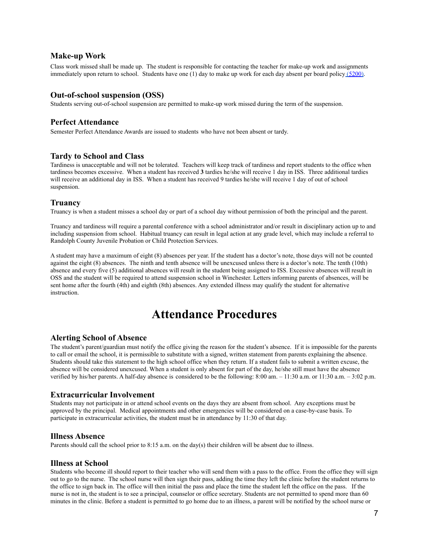#### **Make-up Work**

Class work missed shall be made up. The student is responsible for contacting the teacher for make-up work and assignments immediately upon return to school. Students have one  $(1)$  day to make up work for each day absent per board policy  $(5200)$  $(5200)$ .

### **Out-of-school suspension (OSS)**

Students serving out-of-school suspension are permitted to make-up work missed during the term of the suspension.

### **Perfect Attendance**

Semester Perfect Attendance Awards are issued to students who have not been absent or tardy.

### **Tardy to School and Class**

Tardiness is unacceptable and will not be tolerated. Teachers will keep track of tardiness and report students to the office when tardiness becomes excessive. When a student has received **3** tardies he/she will receive 1 day in ISS. Three additional tardies will receive an additional day in ISS. When a student has received 9 tardies he/she will receive 1 day of out of school suspension.

#### **Truancy**

Truancy is when a student misses a school day or part of a school day without permission of both the principal and the parent.

Truancy and tardiness will require a parental conference with a school administrator and/or result in disciplinary action up to and including suspension from school. Habitual truancy can result in legal action at any grade level, which may include a referral to Randolph County Juvenile Probation or Child Protection Services.

A student may have a maximum of eight (8) absences per year. If the student has a doctor's note, those days will not be counted against the eight (8) absences. The ninth and tenth absence will be unexcused unless there is a doctor's note. The tenth (10th) absence and every five (5) additional absences will result in the student being assigned to ISS. Excessive absences will result in OSS and the student will be required to attend suspension school in Winchester. Letters informing parents of absences, will be sent home after the fourth (4th) and eighth (8th) absences. Any extended illness may qualify the student for alternative instruction.

## **Attendance Procedures**

#### **Alerting School of Absence**

The student's parent/guardian must notify the office giving the reason for the student's absence. If it is impossible for the parents to call or email the school, it is permissible to substitute with a signed, written statement from parents explaining the absence. Students should take this statement to the high school office when they return. If a student fails to submit a written excuse, the absence will be considered unexcused. When a student is only absent for part of the day, he/she still must have the absence verified by his/her parents. A half-day absence is considered to be the following: 8:00 am. – 11:30 a.m. or 11:30 a.m. – 3:02 p.m.

#### **Extracurricular Involvement**

Students may not participate in or attend school events on the days they are absent from school. Any exceptions must be approved by the principal. Medical appointments and other emergencies will be considered on a case-by-case basis. To participate in extracurricular activities, the student must be in attendance by 11:30 of that day.

#### **Illness Absence**

Parents should call the school prior to 8:15 a.m. on the day(s) their children will be absent due to illness.

#### **Illness at School**

Students who become ill should report to their teacher who will send them with a pass to the office. From the office they will sign out to go to the nurse. The school nurse will then sign their pass, adding the time they left the clinic before the student returns to the office to sign back in. The office will then initial the pass and place the time the student left the office on the pass. If the nurse is not in, the student is to see a principal, counselor or office secretary. Students are not permitted to spend more than 60 minutes in the clinic. Before a student is permitted to go home due to an illness, a parent will be notified by the school nurse or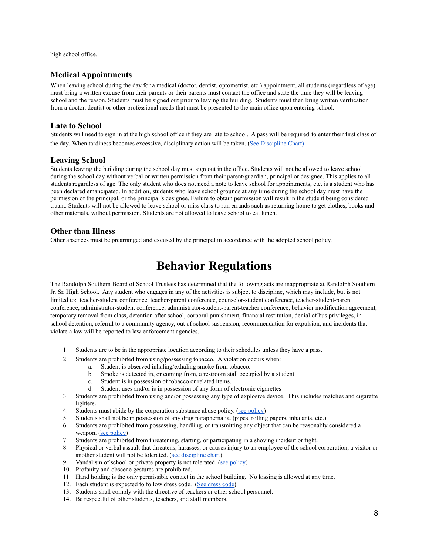high school office.

### **Medical Appointments**

When leaving school during the day for a medical (doctor, dentist, optometrist, etc.) appointment, all students (regardless of age) must bring a written excuse from their parents or their parents must contact the office and state the time they will be leaving school and the reason. Students must be signed out prior to leaving the building. Students must then bring written verification from a doctor, dentist or other professional needs that must be presented to the main office upon entering school.

#### **Late to School**

Students will need to sign in at the high school office if they are late to school. A pass will be required to enter their first class of the day. When tardiness becomes excessive, disciplinary action will be taken. ([See Discipline Chart\)](#page-12-1)

#### **Leaving School**

Students leaving the building during the school day must sign out in the office. Students will not be allowed to leave school during the school day without verbal or written permission from their parent/guardian, principal or designee. This applies to all students regardless of age. The only student who does not need a note to leave school for appointments, etc. is a student who has been declared emancipated. In addition, students who leave school grounds at any time during the school day must have the permission of the principal, or the principal's designee. Failure to obtain permission will result in the student being considered truant. Students will not be allowed to leave school or miss class to run errands such as returning home to get clothes, books and other materials, without permission. Students are not allowed to leave school to eat lunch.

#### **Other than Illness**

<span id="page-7-0"></span>Other absences must be prearranged and excused by the principal in accordance with the adopted school policy.

## **Behavior Regulations**

The Randolph Southern Board of School Trustees has determined that the following acts are inappropriate at Randolph Southern Jr. Sr. High School. Any student who engages in any of the activities is subject to discipline, which may include, but is not limited to: teacher-student conference, teacher-parent conference, counselor-student conference, teacher-student-parent conference, administrator-student conference, administrator-student-parent-teacher conference, behavior modification agreement, temporary removal from class, detention after school, corporal punishment, financial restitution, denial of bus privileges, in school detention, referral to a community agency, out of school suspension, recommendation for expulsion, and incidents that violate a law will be reported to law enforcement agencies.

- 1. Students are to be in the appropriate location according to their schedules unless they have a pass.
- 2. Students are prohibited from using/possessing tobacco. A violation occurs when:
	- a. Student is observed inhaling/exhaling smoke from tobacco.
		- b. Smoke is detected in, or coming from, a restroom stall occupied by a student.
		- c. Student is in possession of tobacco or related items.
		- d. Student uses and/or is in possession of any form of electronic cigarettes
- 3. Students are prohibited from using and/or possessing any type of explosive device. This includes matches and cigarette lighters.
- 4. Students must abide by the corporation substance abuse policy. [\(see policy\)](#page-22-1)
- 5. Students shall not be in possession of any drug paraphernalia. (pipes, rolling papers, inhalants, etc.)
- 6. Students are prohibited from possessing, handling, or transmitting any object that can be reasonably considered a weapon. [\(see policy\)](#page-21-1)
- 7. Students are prohibited from threatening, starting, or participating in a shoving incident or fight.
- 8. Physical or verbal assault that threatens, harasses, or causes injury to an employee of the school corporation, a visitor or another student will not be tolerated. [\(see discipline](#page-12-1) chart)
- 9. Vandalism of school or private property is not tolerated. [\(see policy\)](#page-24-0)
- 10. Profanity and obscene gestures are prohibited.
- 11. Hand holding is the only permissible contact in the school building. No kissing is allowed at any time.
- 12. Each student is expected to follow dress code. (See dress code)
- 13. Students shall comply with the directive of teachers or other school personnel.
- 14. Be respectful of other students, teachers, and staff members.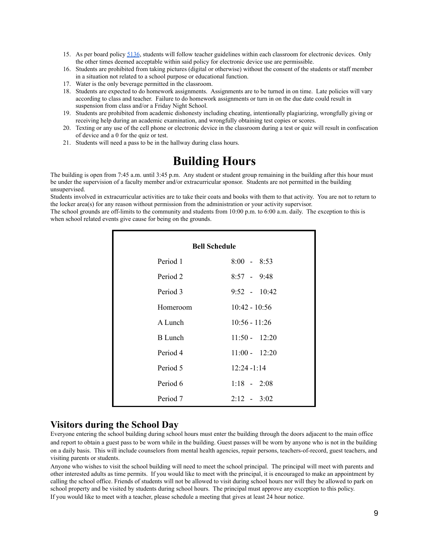- 15. As per board policy [5136](http://www.neola.com/randolphsouthern-in/search/policies/po5136.htm), students will follow teacher guidelines within each classroom for electronic devices. Only the other times deemed acceptable within said policy for electronic device use are permissible.
- 16. Students are prohibited from taking pictures (digital or otherwise) without the consent of the students or staff member in a situation not related to a school purpose or educational function.
- 17. Water is the only beverage permitted in the classroom.
- 18. Students are expected to do homework assignments. Assignments are to be turned in on time. Late policies will vary according to class and teacher. Failure to do homework assignments or turn in on the due date could result in suspension from class and/or a Friday Night School.
- 19. Students are prohibited from academic dishonesty including cheating, intentionally plagiarizing, wrongfully giving or receiving help during an academic examination, and wrongfully obtaining test copies or scores.
- 20. Texting or any use of the cell phone or electronic device in the classroom during a test or quiz will result in confiscation of device and a 0 for the quiz or test.
- <span id="page-8-0"></span>21. Students will need a pass to be in the hallway during class hours.

## **Building Hours**

The building is open from 7:45 a.m. until 3:45 p.m. Any student or student group remaining in the building after this hour must be under the supervision of a faculty member and/or extracurricular sponsor. Students are not permitted in the building unsupervised.

Students involved in extracurricular activities are to take their coats and books with them to that activity. You are not to return to the locker area(s) for any reason without permission from the administration or your activity supervisor.

The school grounds are off-limits to the community and students from 10:00 p.m. to 6:00 a.m. daily. The exception to this is when school related events give cause for being on the grounds.

<span id="page-8-1"></span>

| <b>Bell Schedule</b> |                 |  |  |  |
|----------------------|-----------------|--|--|--|
| Period 1             | $8:00 - 8:53$   |  |  |  |
| Period 2             | $8:57 - 9:48$   |  |  |  |
| Period 3             | $9:52 - 10:42$  |  |  |  |
| Homeroom             | $10:42 - 10:56$ |  |  |  |
| A Lunch              | $10:56 - 11:26$ |  |  |  |
| <b>B</b> Lunch       | $11:50 - 12:20$ |  |  |  |
| Period 4             | $11:00 - 12:20$ |  |  |  |
| Period 5             | $12:24 - 1:14$  |  |  |  |
| Period 6             | $1:18 - 2:08$   |  |  |  |
| Period 7             | $2:12 - 3:02$   |  |  |  |

### <span id="page-8-2"></span>**Visitors during the School Day**

Everyone entering the school building during school hours must enter the building through the doors adjacent to the main office and report to obtain a guest pass to be worn while in the building. Guest passes will be worn by anyone who is not in the building on a daily basis. This will include counselors from mental health agencies, repair persons, teachers-of-record, guest teachers, and visiting parents or students.

Anyone who wishes to visit the school building will need to meet the school principal. The principal will meet with parents and other interested adults as time permits. If you would like to meet with the principal, it is encouraged to make an appointment by calling the school office. Friends of students will not be allowed to visit during school hours nor will they be allowed to park on school property and be visited by students during school hours. The principal must approve any exception to this policy. If you would like to meet with a teacher, please schedule a meeting that gives at least 24 hour notice.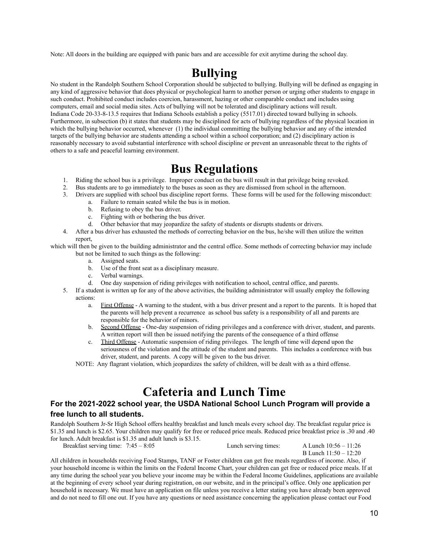<span id="page-9-0"></span>Note: All doors in the building are equipped with panic bars and are accessible for exit anytime during the school day.

## **Bullying**

No student in the Randolph Southern School Corporation should be subjected to bullying. Bullying will be defined as engaging in any kind of aggressive behavior that does physical or psychological harm to another person or urging other students to engage in such conduct. Prohibited conduct includes coercion, harassment, hazing or other comparable conduct and includes using computers, email and social media sites. Acts of bullying will not be tolerated and disciplinary actions will result. Indiana Code 20-33-8-13.5 requires that Indiana Schools establish a policy (5517.01) directed toward bullying in schools. Furthermore, in subsection (b) it states that students may be disciplined for acts of bullying regardless of the physical location in which the bullying behavior occurred, whenever (1) the individual committing the bullying behavior and any of the intended targets of the bullying behavior are students attending a school within a school corporation; and (2) disciplinary action is reasonably necessary to avoid substantial interference with school discipline or prevent an unreasonable threat to the rights of others to a safe and peaceful learning environment.

## **Bus Regulations**

- <span id="page-9-1"></span>1. Riding the school bus is a privilege. Improper conduct on the bus will result in that privilege being revoked.
- 2. Bus students are to go immediately to the buses as soon as they are dismissed from school in the afternoon.
- 3. Drivers are supplied with school bus discipline report forms. These forms will be used for the following misconduct:
	- a. Failure to remain seated while the bus is in motion.
		- b. Refusing to obey the bus driver.
		- c. Fighting with or bothering the bus driver.
		- d. Other behavior that may jeopardize the safety of students or disrupts students or drivers.
- 4. After a bus driver has exhausted the methods of correcting behavior on the bus, he/she will then utilize the written report,

which will then be given to the building administrator and the central office. Some methods of correcting behavior may include but not be limited to such things as the following:

- a. Assigned seats.
- b. Use of the front seat as a disciplinary measure.
- c. Verbal warnings.
- d. One day suspension of riding privileges with notification to school, central office, and parents.
- 5. If a student is written up for any of the above activities, the building administrator will usually employ the following actions:
	- a. First Offense A warning to the student, with a bus driver present and a report to the parents. It is hoped that the parents will help prevent a recurrence as school bus safety is a responsibility of all and parents are responsible for the behavior of minors.
	- b. Second Offense One-day suspension of riding privileges and a conference with driver, student, and parents. A written report will then be issued notifying the parents of the consequence of a third offense
	- c. Third Offense Automatic suspension of riding privileges. The length of time will depend upon the seriousness of the violation and the attitude of the student and parents. This includes a conference with bus driver, student, and parents. A copy will be given to the bus driver.

NOTE: Any flagrant violation, which jeopardizes the safety of children, will be dealt with as a third offense.

## **Cafeteria and Lunch Time**

### <span id="page-9-2"></span>**For the 2021-2022 school year, the USDA National School Lunch Program will provide a free lunch to all students.**

Randolph Southern Jr-Sr High School offers healthy breakfast and lunch meals every school day. The breakfast regular price is \$1.35 and lunch is \$2.65. Your children may qualify for free or reduced price meals. Reduced price breakfast price is .30 and .40 for lunch. Adult breakfast is \$1.35 and adult lunch is \$3.15.

Breakfast serving time: 7:45 – 8:05 Lunch serving times: A Lunch 10:56 – 11:26

B Lunch 11:50 – 12:20

All children in households receiving Food Stamps, TANF or Foster children can get free meals regardless of income. Also, if your household income is within the limits on the Federal Income Chart, your children can get free or reduced price meals. If at any time during the school year you believe your income may be within the Federal Income Guidelines, applications are available at the beginning of every school year during registration, on our website, and in the principal's office. Only one application per household is necessary. We must have an application on file unless you receive a letter stating you have already been approved and do not need to fill one out. If you have any questions or need assistance concerning the application please contact our Food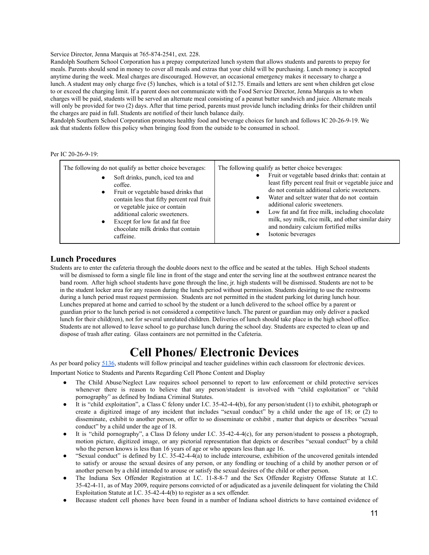#### Service Director, Jenna Marquis at 765-874-2541, ext. 228.

Randolph Southern School Corporation has a prepay computerized lunch system that allows students and parents to prepay for meals. Parents should send in money to cover all meals and extras that your child will be purchasing. Lunch money is accepted anytime during the week. Meal charges are discouraged. However, an occasional emergency makes it necessary to charge a lunch. A student may only charge five (5) lunches, which is a total of \$12.75. Emails and letters are sent when children get close to or exceed the charging limit. If a parent does not communicate with the Food Service Director, Jenna Marquis as to when charges will be paid, students will be served an alternate meal consisting of a peanut butter sandwich and juice. Alternate meals will only be provided for two (2) days. After that time period, parents must provide lunch including drinks for their children until the charges are paid in full. Students are notified of their lunch balance daily.

Randolph Southern School Corporation promotes healthy food and beverage choices for lunch and follows IC 20-26-9-19. We ask that students follow this policy when bringing food from the outside to be consumed in school.

#### Per IC 20-26-9-19:

| The following do not qualify as better choice beverages:<br>Soft drinks, punch, iced tea and<br>٠<br>coffee.<br>Fruit or vegetable based drinks that<br>$\bullet$<br>contain less that fifty percent real fruit<br>or vegetable juice or contain<br>additional caloric sweeteners.<br>Except for low fat and fat free<br>٠<br>chocolate milk drinks that contain<br>caffeine. | The following qualify as better choice beverages:<br>Fruit or vegetable based drinks that: contain at<br>least fifty percent real fruit or vegetable juice and<br>do not contain additional caloric sweeteners.<br>Water and seltzer water that do not contain<br>$\bullet$<br>additional caloric sweeteners.<br>Low fat and fat free milk, including chocolate<br>milk, soy milk, rice milk, and other similar dairy<br>and nondairy calcium fortified milks<br>Isotonic beverages |
|-------------------------------------------------------------------------------------------------------------------------------------------------------------------------------------------------------------------------------------------------------------------------------------------------------------------------------------------------------------------------------|-------------------------------------------------------------------------------------------------------------------------------------------------------------------------------------------------------------------------------------------------------------------------------------------------------------------------------------------------------------------------------------------------------------------------------------------------------------------------------------|
|-------------------------------------------------------------------------------------------------------------------------------------------------------------------------------------------------------------------------------------------------------------------------------------------------------------------------------------------------------------------------------|-------------------------------------------------------------------------------------------------------------------------------------------------------------------------------------------------------------------------------------------------------------------------------------------------------------------------------------------------------------------------------------------------------------------------------------------------------------------------------------|

#### **Lunch Procedures**

Students are to enter the cafeteria through the double doors next to the office and be seated at the tables. High School students will be dismissed to form a single file line in front of the stage and enter the serving line at the southwest entrance nearest the band room. After high school students have gone through the line, jr. high students will be dismissed. Students are not to be in the student locker area for any reason during the lunch period without permission. Students desiring to use the restrooms during a lunch period must request permission. Students are not permitted in the student parking lot during lunch hour. Lunches prepared at home and carried to school by the student or a lunch delivered to the school office by a parent or guardian prior to the lunch period is not considered a competitive lunch. The parent or guardian may only deliver a packed lunch for their child(ren), not for several unrelated children. Deliveries of lunch should take place in the high school office. Students are not allowed to leave school to go purchase lunch during the school day. Students are expected to clean up and dispose of trash after eating. Glass containers are not permitted in the Cafeteria.

## **Cell Phones/ Electronic Devices**

<span id="page-10-0"></span>As per board policy [5136](http://www.neola.com/randolphsouthern-in/search/policies/po5136.htm), students will follow principal and teacher guidelines within each classroom for electronic devices.

Important Notice to Students and Parents Regarding Cell Phone Content and Display

- The Child Abuse/Neglect Law requires school personnel to report to law enforcement or child protective services whenever there is reason to believe that any person/student is involved with "child exploitation" or "child pornography" as defined by Indiana Criminal Statutes.
- It is "child exploitation", a Class C felony under I.C. 35-42-4-4(b), for any person/student (1) to exhibit, photograph or create a digitized image of any incident that includes "sexual conduct" by a child under the age of 18; or (2) to disseminate, exhibit to another person, or offer to so disseminate or exhibit , matter that depicts or describes "sexual conduct" by a child under the age of 18.
- It is "child pornography", a Class D felony under I.C. 35-42-4-4(c), for any person/student to possess a photograph, motion picture, digitized image, or any pictorial representation that depicts or describes "sexual conduct" by a child who the person knows is less than 16 years of age or who appears less than age 16.
- "Sexual conduct" is defined by I.C. 35-42-4-4(a) to include intercourse, exhibition of the uncovered genitals intended to satisfy or arouse the sexual desires of any person, or any fondling or touching of a child by another person or of another person by a child intended to arouse or satisfy the sexual desires of the child or other person.
- The Indiana Sex Offender Registration at I.C. 11-8-8-7 and the Sex Offender Registry Offense Statute at I.C. 35-42-4-11, as of May 2009, require persons convicted of or adjudicated as a juvenile delinquent for violating the Child Exploitation Statute at I.C. 35-42-4-4(b) to register as a sex offender.
- Because student cell phones have been found in a number of Indiana school districts to have contained evidence of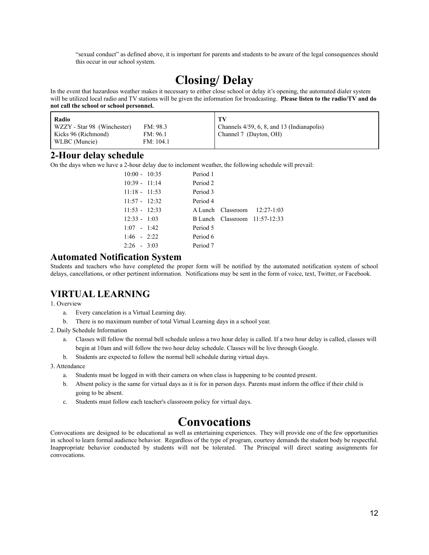"sexual conduct" as defined above, it is important for parents and students to be aware of the legal consequences should this occur in our school system.

## **Closing/ Delay**

<span id="page-11-0"></span>In the event that hazardous weather makes it necessary to either close school or delay it's opening, the automated dialer system will be utilized local radio and TV stations will be given the information for broadcasting. **Please listen to the radio/TV and do not call the school or school personnel.**

| Radio                       |           | - TV                                       |
|-----------------------------|-----------|--------------------------------------------|
| WZZY - Star 98 (Winchester) | FM: 98.3  | Channels 4/59, 6, 8, and 13 (Indianapolis) |
| Kicks 96 (Richmond)         | FM: 96.1  | Channel 7 (Dayton, OH)                     |
| WLBC (Muncie)               | FM: 104.1 |                                            |

### **2-Hour delay schedule**

On the days when we have a 2-hour delay due to inclement weather, the following schedule will prevail:

| $10:00 - 10:35$ | Period 1 |                                      |
|-----------------|----------|--------------------------------------|
| $10:39 - 11:14$ | Period 2 |                                      |
| $11:18 - 11:53$ | Period 3 |                                      |
| $11:57 - 12:32$ | Period 4 |                                      |
| $11:53 - 12:33$ |          | $\Lambda$ Lunch Classroom 12:27-1:03 |
| $12:33 - 1:03$  |          | $B$ Lunch Classroom $11:57-12:33$    |
| $1:07 - 1:42$   | Period 5 |                                      |
| $1:46 - 2:22$   | Period 6 |                                      |
| $2:26 - 3:03$   | Period 7 |                                      |

### **Automated Notification System**

Students and teachers who have completed the proper form will be notified by the automated notification system of school delays, cancellations, or other pertinent information. Notifications may be sent in the form of voice, text, Twitter, or Facebook.

### **VIRTUAL LEARNING**

1. Overview

- a. Every cancelation is a Virtual Learning day.
- b. There is no maximum number of total Virtual Learning days in a school year.
- 2. Daily Schedule Information
	- a. Classes will follow the normal bell schedule unless a two hour delay is called. If a two hour delay is called, classes will begin at 10am and will follow the two hour delay schedule. Classes will be live through Google.
	- b. Students are expected to follow the normal bell schedule during virtual days.
- 3. Attendance
	- a. Students must be logged in with their camera on when class is happening to be counted present.
	- b. Absent policy is the same for virtual days as it is for in person days. Parents must inform the office if their child is going to be absent.
	- c. Students must follow each teacher's classroom policy for virtual days.

## **Convocations**

Convocations are designed to be educational as well as entertaining experiences. They will provide one of the few opportunities in school to learn formal audience behavior. Regardless of the type of program, courtesy demands the student body be respectful. Inappropriate behavior conducted by students will not be tolerated. The Principal will direct seating assignments for convocations.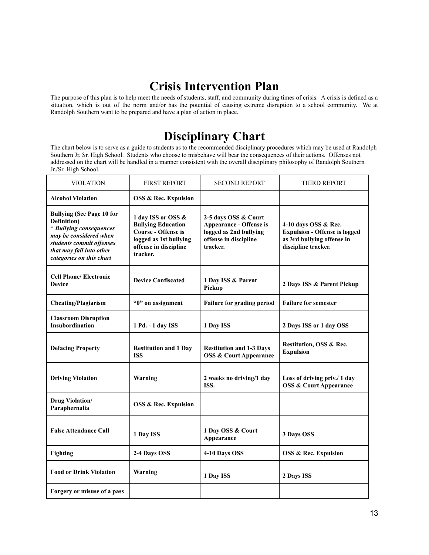## **Crisis Intervention Plan**

<span id="page-12-1"></span><span id="page-12-0"></span>The purpose of this plan is to help meet the needs of students, staff, and community during times of crisis. A crisis is defined as a situation, which is out of the norm and/or has the potential of causing extreme disruption to a school community. We at Randolph Southern want to be prepared and have a plan of action in place.

## **Disciplinary Chart**

The chart below is to serve as a guide to students as to the recommended disciplinary procedures which may be used at Randolph Southern Jr. Sr. High School. Students who choose to misbehave will bear the consequences of their actions. Offenses not addressed on the chart will be handled in a manner consistent with the overall disciplinary philosophy of Randolph Southern Jr./Sr. High School.

| <b>VIOLATION</b>                                                                                                                                                                         | <b>FIRST REPORT</b>                                                                                                                          | <b>SECOND REPORT</b>                                                                                                  | THIRD REPORT                                                                                                      |
|------------------------------------------------------------------------------------------------------------------------------------------------------------------------------------------|----------------------------------------------------------------------------------------------------------------------------------------------|-----------------------------------------------------------------------------------------------------------------------|-------------------------------------------------------------------------------------------------------------------|
| <b>Alcohol Violation</b>                                                                                                                                                                 | <b>OSS &amp; Rec. Expulsion</b>                                                                                                              |                                                                                                                       |                                                                                                                   |
| <b>Bullying (See Page 10 for</b><br>Definition)<br>* Bullying consequences<br>may be considered when<br>students commit offenses<br>that may fall into other<br>categories on this chart | 1 day ISS or OSS &<br><b>Bullying Education</b><br><b>Course - Offense is</b><br>logged as 1st bullying<br>offense in discipline<br>tracker. | 2-5 days OSS & Court<br><b>Appearance - Offense is</b><br>logged as 2nd bullying<br>offense in discipline<br>tracker. | 4-10 days OSS & Rec.<br><b>Expulsion - Offense is logged</b><br>as 3rd bullying offense in<br>discipline tracker. |
| <b>Cell Phone/ Electronic</b><br><b>Device</b>                                                                                                                                           | <b>Device Confiscated</b>                                                                                                                    | 1 Day ISS & Parent<br>Pickup                                                                                          | 2 Days ISS & Parent Pickup                                                                                        |
| <b>Cheating/Plagiarism</b>                                                                                                                                                               | "0" on assignment                                                                                                                            | Failure for grading period                                                                                            | <b>Failure for semester</b>                                                                                       |
| <b>Classroom Disruption</b><br><b>Insubordination</b>                                                                                                                                    | 1 Pd. - 1 day ISS                                                                                                                            | 1 Day ISS                                                                                                             | 2 Days ISS or 1 day OSS                                                                                           |
| <b>Defacing Property</b>                                                                                                                                                                 | <b>Restitution and 1 Day</b><br><b>ISS</b>                                                                                                   | <b>Restitution and 1-3 Days</b><br><b>OSS &amp; Court Appearance</b>                                                  | Restitution, OSS & Rec.<br><b>Expulsion</b>                                                                       |
| <b>Driving Violation</b>                                                                                                                                                                 | Warning                                                                                                                                      | 2 weeks no driving/1 day<br>ISS.                                                                                      | Loss of driving priv./ 1 day<br><b>OSS &amp; Court Appearance</b>                                                 |
| <b>Drug Violation/</b><br>Paraphernalia                                                                                                                                                  | <b>OSS &amp; Rec. Expulsion</b>                                                                                                              |                                                                                                                       |                                                                                                                   |
| <b>False Attendance Call</b>                                                                                                                                                             | 1 Day ISS                                                                                                                                    | 1 Day OSS & Court<br>Appearance                                                                                       | 3 Days OSS                                                                                                        |
| <b>Fighting</b>                                                                                                                                                                          | 2-4 Days OSS                                                                                                                                 | 4-10 Days OSS                                                                                                         | <b>OSS &amp; Rec. Expulsion</b>                                                                                   |
| <b>Food or Drink Violation</b>                                                                                                                                                           | Warning                                                                                                                                      | 1 Day ISS                                                                                                             | 2 Days ISS                                                                                                        |
| Forgery or misuse of a pass                                                                                                                                                              |                                                                                                                                              |                                                                                                                       |                                                                                                                   |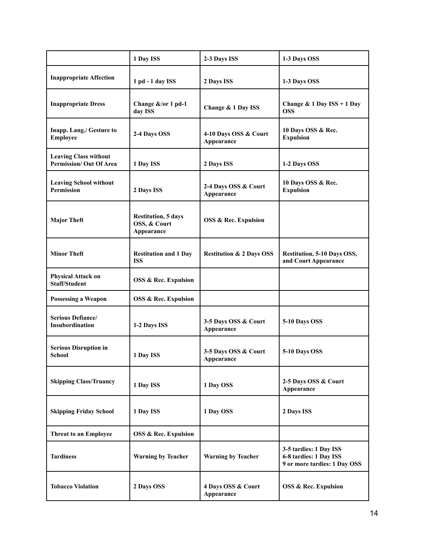|                                                               | 1 Day ISS                                                | 2-3 Days ISS                        | 1-3 Days OSS                                                                     |
|---------------------------------------------------------------|----------------------------------------------------------|-------------------------------------|----------------------------------------------------------------------------------|
| <b>Inappropriate Affection</b>                                | 1 pd - 1 day ISS                                         | 2 Days ISS                          | 1-3 Days OSS                                                                     |
| <b>Inappropriate Dress</b>                                    | Change &/or 1 pd-1<br>day ISS                            | Change & 1 Day ISS                  | Change & 1 Day $ISS + 1$ Day<br><b>OSS</b>                                       |
| Inapp. Lang./ Gesture to<br><b>Employee</b>                   | 2-4 Days OSS                                             | 4-10 Days OSS & Court<br>Appearance | 10 Days OSS & Rec.<br><b>Expulsion</b>                                           |
| <b>Leaving Class without</b><br><b>Permission/Out Of Area</b> | 1 Day ISS                                                | 2 Days ISS                          | 1-2 Days OSS                                                                     |
| <b>Leaving School without</b><br>Permission                   | 2 Days ISS                                               | 2-4 Days OSS & Court<br>Appearance  | 10 Days OSS & Rec.<br><b>Expulsion</b>                                           |
| <b>Major Theft</b>                                            | <b>Restitution, 5 days</b><br>OSS, & Court<br>Appearance | <b>OSS &amp; Rec. Expulsion</b>     |                                                                                  |
| <b>Minor Theft</b>                                            | <b>Restitution and 1 Day</b><br><b>ISS</b>               | <b>Restitution &amp; 2 Days OSS</b> | <b>Restitution, 5-10 Days OSS,</b><br>and Court Appearance                       |
| <b>Physical Attack on</b><br><b>Staff/Student</b>             | <b>OSS &amp; Rec. Expulsion</b>                          |                                     |                                                                                  |
| <b>Possessing a Weapon</b>                                    | <b>OSS &amp; Rec. Expulsion</b>                          |                                     |                                                                                  |
| Serious Defiance/<br>Insubordination                          | 1-2 Days ISS                                             | 3-5 Days OSS & Court<br>Appearance  | 5-10 Days OSS                                                                    |
| <b>Serious Disruption in</b><br>School                        | 1 Day ISS                                                | 3-5 Days OSS & Court<br>Appearance  | 5-10 Days OSS                                                                    |
| <b>Skipping Class/Truancy</b>                                 | 1 Day ISS                                                | 1 Day OSS                           | 2-5 Days OSS & Court<br>Appearance                                               |
| <b>Skipping Friday School</b>                                 | 1 Day ISS                                                | 1 Day OSS                           | 2 Days ISS                                                                       |
| <b>Threat to an Employee</b>                                  | <b>OSS &amp; Rec. Expulsion</b>                          |                                     |                                                                                  |
| <b>Tardiness</b>                                              | <b>Warning by Teacher</b>                                | <b>Warning by Teacher</b>           | 3-5 tardies: 1 Day ISS<br>6-8 tardies: 1 Day ISS<br>9 or more tardies: 1 Day OSS |
| <b>Tobacco Violation</b>                                      | 2 Days OSS                                               | 4 Days OSS & Court<br>Appearance    | <b>OSS &amp; Rec. Expulsion</b>                                                  |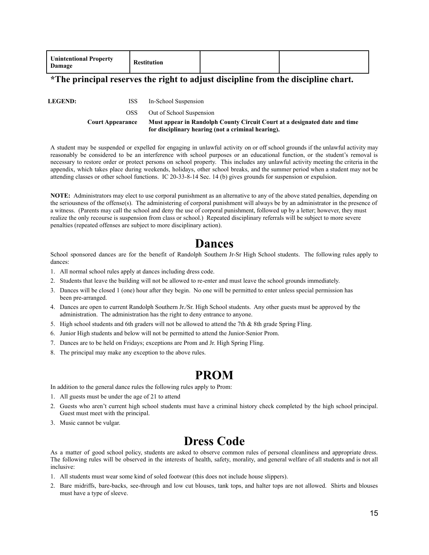| <b>Unintentional Property</b><br>Damage | Restitution |  |  |
|-----------------------------------------|-------------|--|--|
|-----------------------------------------|-------------|--|--|

### **\*The principal reserves the right to adjust discipline from the discipline chart.**

**LEGEND:** ISS In-School Suspension

OSS Out of School Suspension

**Court Appearance Must appear in Randolph County Circuit Court at a designated date and time for disciplinary hearing (not a criminal hearing).**

A student may be suspended or expelled for engaging in unlawful activity on or off school grounds if the unlawful activity may reasonably be considered to be an interference with school purposes or an educational function, or the student's removal is necessary to restore order or protect persons on school property. This includes any unlawful activity meeting the criteria in the appendix, which takes place during weekends, holidays, other school breaks, and the summer period when a student may not be attending classes or other school functions. IC 20-33-8-14 Sec. 14 (b) gives grounds for suspension or expulsion.

**NOTE:** Administrators may elect to use corporal punishment as an alternative to any of the above stated penalties, depending on the seriousness of the offense(s). The administering of corporal punishment will always be by an administrator in the presence of a witness. (Parents may call the school and deny the use of corporal punishment, followed up by a letter; however, they must realize the only recourse is suspension from class or school.) Repeated disciplinary referrals will be subject to more severe penalties (repeated offenses are subject to more disciplinary action).

## **Dances**

<span id="page-14-0"></span>School sponsored dances are for the benefit of Randolph Southern Jr-Sr High School students. The following rules apply to dances:

- 1. All normal school rules apply at dances including dress code.
- 2. Students that leave the building will not be allowed to re-enter and must leave the school grounds immediately.
- 3. Dances will be closed 1 (one) hour after they begin. No one will be permitted to enter unless special permission has been pre-arranged.
- 4. Dances are open to current Randolph Southern Jr./Sr. High School students. Any other guests must be approved by the administration. The administration has the right to deny entrance to anyone.
- 5. High school students and 6th graders will not be allowed to attend the 7th & 8th grade Spring Fling.
- 6. Junior High students and below will not be permitted to attend the Junior-Senior Prom.
- 7. Dances are to be held on Fridays; exceptions are Prom and Jr. High Spring Fling.
- 8. The principal may make any exception to the above rules.

## **PROM**

<span id="page-14-1"></span>In addition to the general dance rules the following rules apply to Prom:

- 1. All guests must be under the age of 21 to attend
- 2. Guests who aren't current high school students must have a criminal history check completed by the high school principal. Guest must meet with the principal.
- 3. Music cannot be vulgar.

## **Dress Code**

As a matter of good school policy, students are asked to observe common rules of personal cleanliness and appropriate dress. The following rules will be observed in the interests of health, safety, morality, and general welfare of all students and is not all inclusive:

- 1. All students must wear some kind of soled footwear (this does not include house slippers).
- 2. Bare midriffs, bare-backs, see-through and low cut blouses, tank tops, and halter tops are not allowed. Shirts and blouses must have a type of sleeve.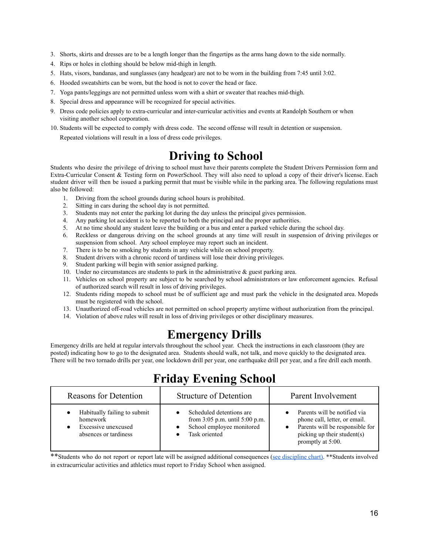- 3. Shorts, skirts and dresses are to be a length longer than the fingertips as the arms hang down to the side normally.
- 4. Rips or holes in clothing should be below mid-thigh in length.
- 5. Hats, visors, bandanas, and sunglasses (any headgear) are not to be worn in the building from 7:45 until 3:02.
- 6. Hooded sweatshirts can be worn, but the hood is not to cover the head or face.
- 7. Yoga pants/leggings are not permitted unless worn with a shirt or sweater that reaches mid-thigh.
- 8. Special dress and appearance will be recognized for special activities.
- 9. Dress code policies apply to extra-curricular and inter-curricular activities and events at Randolph Southern or when visiting another school corporation.
- <span id="page-15-0"></span>10. Students will be expected to comply with dress code. The second offense will result in detention or suspension. Repeated violations will result in a loss of dress code privileges.

## **Driving to School**

Students who desire the privilege of driving to school must have their parents complete the Student Drivers Permission form and Extra-Curricular Consent & Testing form on PowerSchool. They will also need to upload a copy of their driver's license. Each student driver will then be issued a parking permit that must be visible while in the parking area. The following regulations must also be followed:

- 1. Driving from the school grounds during school hours is prohibited.
- 2. Sitting in cars during the school day is not permitted.
- 3. Students may not enter the parking lot during the day unless the principal gives permission.
- 4. Any parking lot accident is to be reported to both the principal and the proper authorities.
- 5. At no time should any student leave the building or a bus and enter a parked vehicle during the school day.
- 6. Reckless or dangerous driving on the school grounds at any time will result in suspension of driving privileges or suspension from school. Any school employee may report such an incident.
- 7. There is to be no smoking by students in any vehicle while on school property.
- 8. Student drivers with a chronic record of tardiness will lose their driving privileges.
- 9. Student parking will begin with senior assigned parking.
- 10. Under no circumstances are students to park in the administrative & guest parking area.
- 11. Vehicles on school property are subject to be searched by school administrators or law enforcement agencies. Refusal of authorized search will result in loss of driving privileges.
- 12. Students riding mopeds to school must be of sufficient age and must park the vehicle in the designated area. Mopeds must be registered with the school.
- 13. Unauthorized off-road vehicles are not permitted on school property anytime without authorization from the principal.
- <span id="page-15-1"></span>14. Violation of above rules will result in loss of driving privileges or other disciplinary measures.

## **Emergency Drills**

Emergency drills are held at regular intervals throughout the school year. Check the instructions in each classroom (they are posted) indicating how to go to the designated area. Students should walk, not talk, and move quickly to the designated area. There will be two tornado drills per year, one lockdown drill per year, one earthquake drill per year, and a fire drill each month.

<span id="page-15-2"></span>

| <b>Reasons for Detention</b>                                                             | <b>Structure of Detention</b>                                                                            | Parent Involvement                                                                                                                                   |
|------------------------------------------------------------------------------------------|----------------------------------------------------------------------------------------------------------|------------------------------------------------------------------------------------------------------------------------------------------------------|
| Habitually failing to submit<br>homework<br>Excessive unexcused<br>absences or tardiness | Scheduled detentions are<br>from 3:05 p.m. until 5:00 p.m.<br>School employee monitored<br>Task oriented | Parents will be notified via<br>phone call, letter, or email.<br>Parents will be responsible for<br>picking up their student(s)<br>promptly at 5:00. |

## **Friday Evening School**

\*\*Students who do not report or report late will be assigned additional consequences (see [discipline](#page-12-1) chart). \*\*Students involved in extracurricular activities and athletics must report to Friday School when assigned.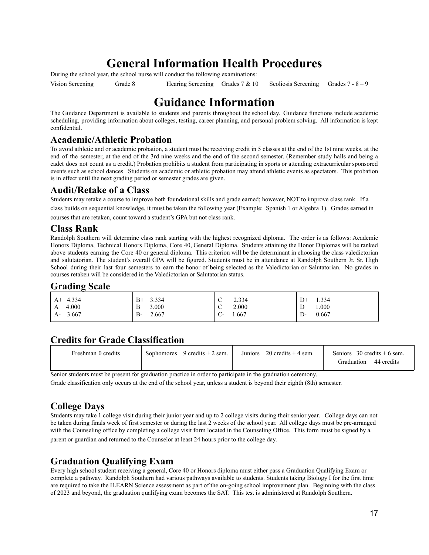## **General Information Health Procedures**

During the school year, the school nurse will conduct the following examinations:

<span id="page-16-0"></span>

Vision Screening Grade 8 Hearing Screening Grades 7 & 10 Scoliosis Screening Grades 7 - 8 – 9

## **Guidance Information**

The Guidance Department is available to students and parents throughout the school day. Guidance functions include academic scheduling, providing information about colleges, testing, career planning, and personal problem solving. All information is kept confidential.

### <span id="page-16-1"></span>**Academic/Athletic Probation**

To avoid athletic and or academic probation, a student must be receiving credit in 5 classes at the end of the 1st nine weeks, at the end of the semester, at the end of the 3rd nine weeks and the end of the second semester. (Remember study halls and being a cadet does not count as a credit.) Probation prohibits a student from participating in sports or attending extracurricular sponsored events such as school dances. Students on academic or athletic probation may attend athletic events as spectators. This probation is in effect until the next grading period or semester grades are given.

### <span id="page-16-2"></span>**Audit/Retake of a Class**

Students may retake a course to improve both foundational skills and grade earned; however, NOT to improve class rank. If a class builds on sequential knowledge, it must be taken the following year (Example: Spanish 1 or Algebra 1). Grades earned in courses that are retaken, count toward a student's GPA but not class rank.

### <span id="page-16-3"></span>**Class Rank**

Randolph Southern will determine class rank starting with the highest recognized diploma. The order is as follows: Academic Honors Diploma, Technical Honors Diploma, Core 40, General Diploma. Students attaining the Honor Diplomas will be ranked above students earning the Core 40 or general diploma. This criterion will be the determinant in choosing the class valedictorian and salutatorian. The student's overall GPA will be figured. Students must be in attendance at Randolph Southern Jr. Sr. High School during their last four semesters to earn the honor of being selected as the Valedictorian or Salutatorian. No grades in courses retaken will be considered in the Valedictorian or Salutatorian status.

### <span id="page-16-4"></span>**Grading Scale**

| $A+ 4.334$   | $B+ 3.334$ | 2.334 | 1.334 |
|--------------|------------|-------|-------|
| 4.000        | 3.000      | $C+$  | $D+$  |
| $\mathsf{A}$ | B          | 2.000 | 000.1 |
| 3.667        | 2.667      | 1.667 | 0.667 |
| $A$ -        | $B-$       | ◡     | D-    |

## <span id="page-16-5"></span>**Credits for Grade Classification**

| Freshman 0 credits | Sophomores | 9 credits $+ 2$ sem. | Juniors | $20$ credits $+4$ sem. | Seniors 30 credits $+6$ sem.<br>44 credits<br>Graduation |
|--------------------|------------|----------------------|---------|------------------------|----------------------------------------------------------|
|--------------------|------------|----------------------|---------|------------------------|----------------------------------------------------------|

Senior students must be present for graduation practice in order to participate in the graduation ceremony.

<span id="page-16-6"></span>Grade classification only occurs at the end of the school year, unless a student is beyond their eighth (8th) semester.

## **College Days**

Students may take 1 college visit during their junior year and up to 2 college visits during their senior year. College days can not be taken during finals week of first semester or during the last 2 weeks of the school year. All college days must be pre-arranged with the Counseling office by completing a college visit form located in the Counseling Office. This form must be signed by a parent or guardian and returned to the Counselor at least 24 hours prior to the college day.

## <span id="page-16-7"></span>**Graduation Qualifying Exam**

Every high school student receiving a general, Core 40 or Honors diploma must either pass a Graduation Qualifying Exam or complete a pathway. Randolph Southern had various pathways available to students. Students taking Biology I for the first time are required to take the ILEARN Science assessment as part of the on-going school improvement plan. Beginning with the class of 2023 and beyond, the graduation qualifying exam becomes the SAT. This test is administered at Randolph Southern.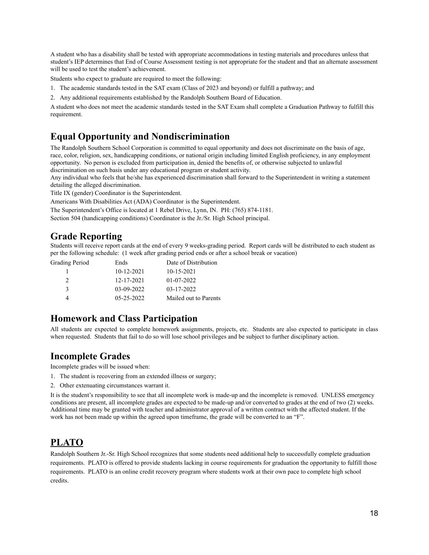A student who has a disability shall be tested with appropriate accommodations in testing materials and procedures unless that student's IEP determines that End of Course Assessment testing is not appropriate for the student and that an alternate assessment will be used to test the student's achievement.

Students who expect to graduate are required to meet the following:

- 1. The academic standards tested in the SAT exam (Class of 2023 and beyond) or fulfill a pathway; and
- 2. Any additional requirements established by the Randolph Southern Board of Education.

A student who does not meet the academic standards tested in the SAT Exam shall complete a Graduation Pathway to fulfill this requirement.

### **Equal Opportunity and Nondiscrimination**

The Randolph Southern School Corporation is committed to equal opportunity and does not discriminate on the basis of age, race, color, religion, sex, handicapping conditions, or national origin including limited English proficiency, in any employment opportunity. No person is excluded from participation in, denied the benefits of, or otherwise subjected to unlawful discrimination on such basis under any educational program or student activity.

Any individual who feels that he/she has experienced discrimination shall forward to the Superintendent in writing a statement detailing the alleged discrimination.

Title IX (gender) Coordinator is the Superintendent.

Americans With Disabilities Act (ADA) Coordinator is the Superintendent.

The Superintendent's Office is located at 1 Rebel Drive, Lynn, IN. PH: (765) 874-1181.

<span id="page-17-0"></span>Section 504 (handicapping conditions) Coordinator is the Jr./Sr. High School principal.

### **Grade Reporting**

Students will receive report cards at the end of every 9 weeks-grading period. Report cards will be distributed to each student as per the following schedule: (1 week after grading period ends or after a school break or vacation)

| Grading Period | Ends             | Date of Distribution  |
|----------------|------------------|-----------------------|
|                | $10-12-2021$     | $10 - 15 - 2021$      |
|                | 12-17-2021       | 01-07-2022            |
| $\mathbf{3}$   | 03-09-2022       | 03-17-2022            |
|                | $05 - 25 - 2022$ | Mailed out to Parents |

### **Homework and Class Participation**

All students are expected to complete homework assignments, projects, etc. Students are also expected to participate in class when requested. Students that fail to do so will lose school privileges and be subject to further disciplinary action.

### <span id="page-17-1"></span>**Incomplete Grades**

Incomplete grades will be issued when:

- 1. The student is recovering from an extended illness or surgery;
- 2. Other extenuating circumstances warrant it.

It is the student's responsibility to see that all incomplete work is made-up and the incomplete is removed. UNLESS emergency conditions are present, all incomplete grades are expected to be made-up and/or converted to grades at the end of two (2) weeks. Additional time may be granted with teacher and administrator approval of a written contract with the affected student. If the work has not been made up within the agreed upon timeframe, the grade will be converted to an "F".

## **PLATO**

Randolph Southern Jr.-Sr. High School recognizes that some students need additional help to successfully complete graduation requirements. PLATO is offered to provide students lacking in course requirements for graduation the opportunity to fulfill those requirements. PLATO is an online credit recovery program where students work at their own pace to complete high school credits.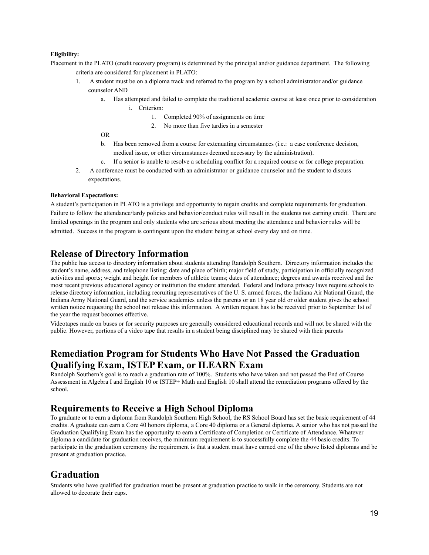#### **Eligibility:**

Placement in the PLATO (credit recovery program) is determined by the principal and/or guidance department. The following criteria are considered for placement in PLATO:

- 1. A student must be on a diploma track and referred to the program by a school administrator and/or guidance counselor AND
	- a. Has attempted and failed to complete the traditional academic course at least once prior to consideration i. Criterion:
		- 1. Completed 90% of assignments on time
		- 2. No more than five tardies in a semester

OR

- b. Has been removed from a course for extenuating circumstances (i.e.: a case conference decision, medical issue, or other circumstances deemed necessary by the administration).
- c. If a senior is unable to resolve a scheduling conflict for a required course or for college preparation.
- 2. A conference must be conducted with an administrator or guidance counselor and the student to discuss expectations.

#### **Behavioral Expectations:**

A student's participation in PLATO is a privilege and opportunity to regain credits and complete requirements for graduation. Failure to follow the attendance/tardy policies and behavior/conduct rules will result in the students not earning credit. There are limited openings in the program and only students who are serious about meeting the attendance and behavior rules will be admitted. Success in the program is contingent upon the student being at school every day and on time.

### <span id="page-18-0"></span>**Release of Directory Information**

The public has access to directory information about students attending Randolph Southern. Directory information includes the student's name, address, and telephone listing; date and place of birth; major field of study, participation in officially recognized activities and sports; weight and height for members of athletic teams; dates of attendance; degrees and awards received and the most recent previous educational agency or institution the student attended. Federal and Indiana privacy laws require schools to release directory information, including recruiting representatives of the U. S. armed forces, the Indiana Air National Guard, the Indiana Army National Guard, and the service academies unless the parents or an 18 year old or older student gives the school written notice requesting the school not release this information. A written request has to be received prior to September 1st of the year the request becomes effective.

Videotapes made on buses or for security purposes are generally considered educational records and will not be shared with the public. However, portions of a video tape that results in a student being disciplined may be shared with their parents

### <span id="page-18-1"></span>**Remediation Program for Students Who Have Not Passed the Graduation Qualifying Exam, ISTEP Exam, or ILEARN Exam**

Randolph Southern's goal is to reach a graduation rate of 100%. Students who have taken and not passed the End of Course Assessment in Algebra I and English 10 or ISTEP+ Math and English 10 shall attend the remediation programs offered by the school.

### <span id="page-18-2"></span>**Requirements to Receive a High School Diploma**

To graduate or to earn a diploma from Randolph Southern High School, the RS School Board has set the basic requirement of 44 credits. A graduate can earn a Core 40 honors diploma, a Core 40 diploma or a General diploma. A senior who has not passed the Graduation Qualifying Exam has the opportunity to earn a Certificate of Completion or Certificate of Attendance. Whatever diploma a candidate for graduation receives, the minimum requirement is to successfully complete the 44 basic credits. To participate in the graduation ceremony the requirement is that a student must have earned one of the above listed diplomas and be present at graduation practice.

### **Graduation**

Students who have qualified for graduation must be present at graduation practice to walk in the ceremony. Students are not allowed to decorate their caps.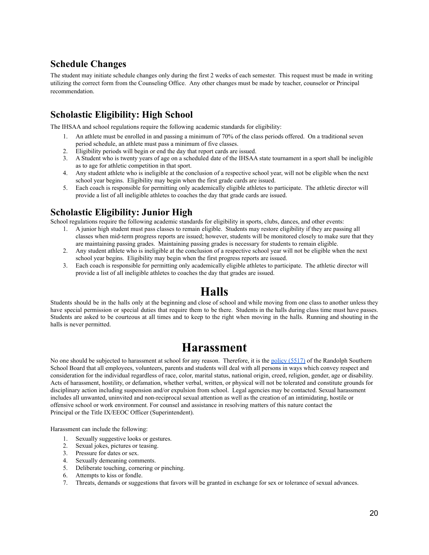### <span id="page-19-0"></span>**Schedule Changes**

<span id="page-19-1"></span>The student may initiate schedule changes only during the first 2 weeks of each semester. This request must be made in writing utilizing the correct form from the Counseling Office. Any other changes must be made by teacher, counselor or Principal recommendation.

## **Scholastic Eligibility: High School**

The IHSAA and school regulations require the following academic standards for eligibility:

- 1. An athlete must be enrolled in and passing a minimum of 70% of the class periods offered. On a traditional seven period schedule, an athlete must pass a minimum of five classes.
- 2. Eligibility periods will begin or end the day that report cards are issued.
- 3. A Student who is twenty years of age on a scheduled date of the IHSAA state tournament in a sport shall be ineligible as to age for athletic competition in that sport.
- 4. Any student athlete who is ineligible at the conclusion of a respective school year, will not be eligible when the next school year begins. Eligibility may begin when the first grade cards are issued.
- 5. Each coach is responsible for permitting only academically eligible athletes to participate. The athletic director will provide a list of all ineligible athletes to coaches the day that grade cards are issued.

### <span id="page-19-2"></span>**Scholastic Eligibility: Junior High**

School regulations require the following academic standards for eligibility in sports, clubs, dances, and other events:

- 1. A junior high student must pass classes to remain eligible. Students may restore eligibility if they are passing all classes when mid-term progress reports are issued; however, students will be monitored closely to make sure that they are maintaining passing grades. Maintaining passing grades is necessary for students to remain eligible.
- 2. Any student athlete who is ineligible at the conclusion of a respective school year will not be eligible when the next school year begins. Eligibility may begin when the first progress reports are issued.
- <span id="page-19-3"></span>3. Each coach is responsible for permitting only academically eligible athletes to participate. The athletic director will provide a list of all ineligible athletes to coaches the day that grades are issued.

## **Halls**

<span id="page-19-4"></span>Students should be in the halls only at the beginning and close of school and while moving from one class to another unless they have special permission or special duties that require them to be there. Students in the halls during class time must have passes. Students are asked to be courteous at all times and to keep to the right when moving in the halls. Running and shouting in the halls is never permitted.

## **Harassment**

No one should be subjected to harassment at school for any reason. Therefore, it is the [policy](http://www.neola.com/randolphsouthern-in/search/policies/po5517.htm) (5517) of the Randolph Southern School Board that all employees, volunteers, parents and students will deal with all persons in ways which convey respect and consideration for the individual regardless of race, color, marital status, national origin, creed, religion, gender, age or disability. Acts of harassment, hostility, or defamation, whether verbal, written, or physical will not be tolerated and constitute grounds for disciplinary action including suspension and/or expulsion from school. Legal agencies may be contacted. Sexual harassment includes all unwanted, uninvited and non-reciprocal sexual attention as well as the creation of an intimidating, hostile or offensive school or work environment. For counsel and assistance in resolving matters of this nature contact the Principal or the Title IX/EEOC Officer (Superintendent).

Harassment can include the following:

- 1. Sexually suggestive looks or gestures.
- 2. Sexual jokes, pictures or teasing.
- 3. Pressure for dates or sex.
- 4. Sexually demeaning comments.
- 5. Deliberate touching, cornering or pinching.
- 6. Attempts to kiss or fondle.
- 7. Threats, demands or suggestions that favors will be granted in exchange for sex or tolerance of sexual advances.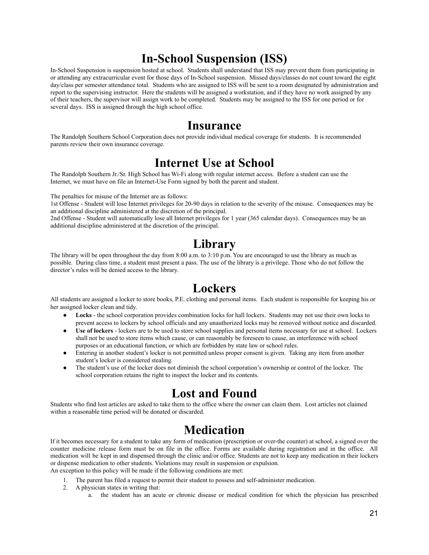## **In-School Suspension (ISS)**

<span id="page-20-0"></span>In-School Suspension is suspension hosted at school. Students shall understand that ISS may prevent them from participating in or attending any extracurricular event for those days of In-School suspension. Missed days/classes do not count toward the eight day/class per semester attendance total. Students who are assigned to ISS will be sent to a room designated by administration and report to the supervising instructor. Here the students will be assigned a workstation, and if they have no work assigned by any of their teachers, the supervisor will assign work to be completed. Students may be assigned to the ISS for one period or for several days. ISS is assigned through the high school office.

## **Insurance**

<span id="page-20-1"></span>The Randolph Southern School Corporation does not provide individual medical coverage for students. It is recommended parents review their own insurance coverage.

## **Internet Use at School**

The Randolph Southern Jr./Sr. High School has Wi-Fi along with regular internet access. Before a student can use the Internet, we must have on file an Internet-Use Form signed by both the parent and student.

The penalties for misuse of the Internet are as follows:

1st Offense - Student will lose Internet privileges for 20-90 days in relation to the severity of the misuse. Consequences may be an additional discipline administered at the discretion of the principal.

<span id="page-20-2"></span>2nd Offense - Student will automatically lose all Internet privileges for 1 year (365 calendar days). Consequences may be an additional discipline administered at the discretion of the principal.

## **Library**

<span id="page-20-3"></span>The library will be open throughout the day from 8:00 a.m. to 3:10 p.m. You are encouraged to use the library as much as possible. During class time, a student must present a pass. The use of the library is a privilege. Those who do not follow the director's rules will be denied access to the library.

## **Lockers**

All students are assigned a locker to store books, P.E. clothing and personal items. Each student is responsible for keeping his or her assigned locker clean and tidy.

- **Locks** the school corporation provides combination locks for hall lockers. Students may not use their own locks to prevent access to lockers by school officials and any unauthorized locks may be removed without notice and discarded.
- Use of lockers lockers are to be used to store school supplies and personal items necessary for use at school. Lockers shall not be used to store items which cause, or can reasonably be foreseen to cause, an interference with school purposes or an educational function, or which are forbidden by state law or school rules.
- Entering in another student's locker is not permitted unless proper consent is given. Taking any item from another student's locker is considered stealing.
- <span id="page-20-4"></span>The student's use of the locker does not diminish the school corporation's ownership or control of the locker. The school corporation retains the right to inspect the locker and its contents.

## **Lost and Found**

<span id="page-20-5"></span>Students who find lost articles are asked to take them to the office where the owner can claim them. Lost articles not claimed within a reasonable time period will be donated or discarded.

## **Medication**

If it becomes necessary for a student to take any form of medication (prescription or over-the counter) at school, a signed over the counter medicine release form must be on file in the office. Forms are available during registration and in the office. All medication will be kept in and dispensed through the clinic and/or office. Students are not to keep any medication in their lockers or dispense medication to other students. Violations may result in suspension or expulsion. An exception to this policy will be made if the following conditions are met:

- 1. The parent has filed a request to permit their student to possess and self-administer medication.
- 2. A physician states in writing that:
	- a. the student has an acute or chronic disease or medical condition for which the physician has prescribed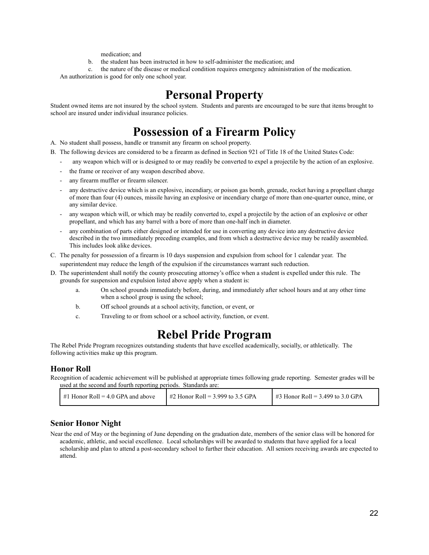medication; and

- b. the student has been instructed in how to self-administer the medication; and
- c. the nature of the disease or medical condition requires emergency administration of the medication.

<span id="page-21-0"></span>An authorization is good for only one school year.

## **Personal Property**

<span id="page-21-1"></span>Student owned items are not insured by the school system. Students and parents are encouraged to be sure that items brought to school are insured under individual insurance policies.

## **Possession of a Firearm Policy**

- A. No student shall possess, handle or transmit any firearm on school property.
- B. The following devices are considered to be a firearm as defined in Section 921 of Title 18 of the United States Code:
	- any weapon which will or is designed to or may readily be converted to expel a projectile by the action of an explosive.
	- the frame or receiver of any weapon described above.
	- any firearm muffler or firearm silencer.
	- any destructive device which is an explosive, incendiary, or poison gas bomb, grenade, rocket having a propellant charge of more than four (4) ounces, missile having an explosive or incendiary charge of more than one-quarter ounce, mine, or any similar device.
	- any weapon which will, or which may be readily converted to, expel a projectile by the action of an explosive or other propellant, and which has any barrel with a bore of more than one-half inch in diameter.
	- any combination of parts either designed or intended for use in converting any device into any destructive device described in the two immediately preceding examples, and from which a destructive device may be readily assembled. This includes look alike devices.
- C. The penalty for possession of a firearm is 10 days suspension and expulsion from school for 1 calendar year. The superintendent may reduce the length of the expulsion if the circumstances warrant such reduction.
- D. The superintendent shall notify the county prosecuting attorney's office when a student is expelled under this rule. The grounds for suspension and expulsion listed above apply when a student is:
	- a. On school grounds immediately before, during, and immediately after school hours and at any other time when a school group is using the school;
	- b. Off school grounds at a school activity, function, or event, or
	- c. Traveling to or from school or a school activity, function, or event.

## **Rebel Pride Program**

<span id="page-21-2"></span>The Rebel Pride Program recognizes outstanding students that have excelled academically, socially, or athletically. The following activities make up this program.

#### **Honor Roll**

Recognition of academic achievement will be published at appropriate times following grade reporting. Semester grades will be used at the second and fourth reporting periods. Standards are:

| $\mu$ #1 Honor Roll = 4.0 GPA and above | $\#2$ Honor Roll = 3.999 to 3.5 GPA | $\frac{1}{2}$ #3 Honor Roll = 3.499 to 3.0 GPA |
|-----------------------------------------|-------------------------------------|------------------------------------------------|
|-----------------------------------------|-------------------------------------|------------------------------------------------|

### **Senior Honor Night**

Near the end of May or the beginning of June depending on the graduation date, members of the senior class will be honored for academic, athletic, and social excellence. Local scholarships will be awarded to students that have applied for a local scholarship and plan to attend a post-secondary school to further their education. All seniors receiving awards are expected to attend.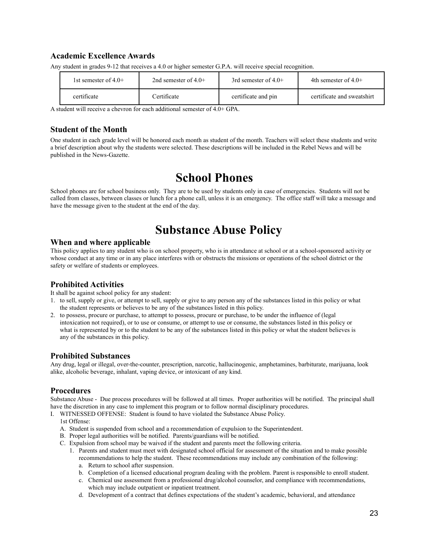### **Academic Excellence Awards**

| 1st semester of $4.0+$ | 2nd semester of $4.0+$ | 3rd semester of $4.0+$ | 4th semester of $4.0+$     |
|------------------------|------------------------|------------------------|----------------------------|
| certificate            | Certificate            | certificate and pin    | certificate and sweatshirt |

Any student in grades 9-12 that receives a 4.0 or higher semester G.P.A. will receive special recognition.

A student will receive a chevron for each additional semester of 4.0+ GPA.

### **Student of the Month**

<span id="page-22-0"></span>One student in each grade level will be honored each month as student of the month. Teachers will select these students and write a brief description about why the students were selected. These descriptions will be included in the Rebel News and will be published in the News-Gazette.

## **School Phones**

<span id="page-22-1"></span>School phones are for school business only. They are to be used by students only in case of emergencies. Students will not be called from classes, between classes or lunch for a phone call, unless it is an emergency. The office staff will take a message and have the message given to the student at the end of the day.

## **Substance Abuse Policy**

### **When and where applicable**

This policy applies to any student who is on school property, who is in attendance at school or at a school-sponsored activity or whose conduct at any time or in any place interferes with or obstructs the missions or operations of the school district or the safety or welfare of students or employees.

### **Prohibited Activities**

It shall be against school policy for any student:

- 1. to sell, supply or give, or attempt to sell, supply or give to any person any of the substances listed in this policy or what the student represents or believes to be any of the substances listed in this policy.
- 2. to possess, procure or purchase, to attempt to possess, procure or purchase, to be under the influence of (legal intoxication not required), or to use or consume, or attempt to use or consume, the substances listed in this policy or what is represented by or to the student to be any of the substances listed in this policy or what the student believes is any of the substances in this policy.

### **Prohibited Substances**

Any drug, legal or illegal, over-the-counter, prescription, narcotic, hallucinogenic, amphetamines, barbiturate, marijuana, look alike, alcoholic beverage, inhalant, vaping device, or intoxicant of any kind.

### **Procedures**

Substance Abuse - Due process procedures will be followed at all times. Proper authorities will be notified. The principal shall have the discretion in any case to implement this program or to follow normal disciplinary procedures.

I. WITNESSED OFFENSE: Student is found to have violated the Substance Abuse Policy.

1st Offense:

- A. Student is suspended from school and a recommendation of expulsion to the Superintendent.
- B. Proper legal authorities will be notified. Parents/guardians will be notified.
- C. Expulsion from school may be waived if the student and parents meet the following criteria.
	- 1. Parents and student must meet with designated school official for assessment of the situation and to make possible recommendations to help the student. These recommendations may include any combination of the following:
		- a. Return to school after suspension.
		- b. Completion of a licensed educational program dealing with the problem. Parent is responsible to enroll student.
		- c. Chemical use assessment from a professional drug/alcohol counselor, and compliance with recommendations, which may include outpatient or inpatient treatment.
		- d. Development of a contract that defines expectations of the student's academic, behavioral, and attendance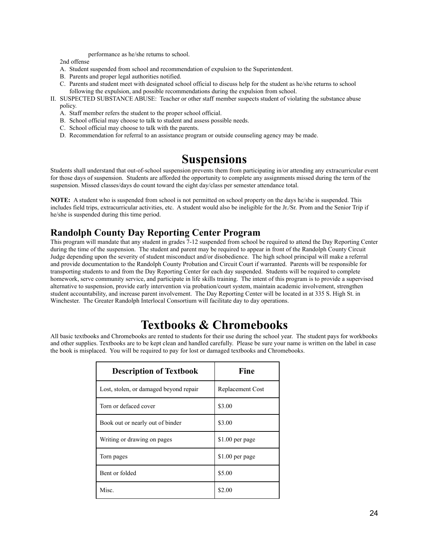performance as he/she returns to school.

2nd offense

- A. Student suspended from school and recommendation of expulsion to the Superintendent.
- B. Parents and proper legal authorities notified.
- C. Parents and student meet with designated school official to discuss help for the student as he/she returns to school following the expulsion, and possible recommendations during the expulsion from school.
- II. SUSPECTED SUBSTANCE ABUSE: Teacher or other staff member suspects student of violating the substance abuse policy.
	- A. Staff member refers the student to the proper school official.
	- B. School official may choose to talk to student and assess possible needs.
	- C. School official may choose to talk with the parents.
	- D. Recommendation for referral to an assistance program or outside counseling agency may be made.

## **Suspensions**

<span id="page-23-0"></span>Students shall understand that out-of-school suspension prevents them from participating in/or attending any extracurricular event for those days of suspension. Students are afforded the opportunity to complete any assignments missed during the term of the suspension. Missed classes/days do count toward the eight day/class per semester attendance total.

**NOTE:** A student who is suspended from school is not permitted on school property on the days he/she is suspended. This includes field trips, extracurricular activities, etc. A student would also be ineligible for the Jr./Sr. Prom and the Senior Trip if he/she is suspended during this time period.

### <span id="page-23-1"></span>**Randolph County Day Reporting Center Program**

This program will mandate that any student in grades 7-12 suspended from school be required to attend the Day Reporting Center during the time of the suspension. The student and parent may be required to appear in front of the Randolph County Circuit Judge depending upon the severity of student misconduct and/or disobedience. The high school principal will make a referral and provide documentation to the Randolph County Probation and Circuit Court if warranted. Parents will be responsible for transporting students to and from the Day Reporting Center for each day suspended. Students will be required to complete homework, serve community service, and participate in life skills training. The intent of this program is to provide a supervised alternative to suspension, provide early intervention via probation/court system, maintain academic involvement, strengthen student accountability, and increase parent involvement. The Day Reporting Center will be located in at 335 S. High St. in Winchester. The Greater Randolph Interlocal Consortium will facilitate day to day operations.

## **Textbooks & Chromebooks**

<span id="page-23-2"></span>All basic textbooks and Chromebooks are rented to students for their use during the school year. The student pays for workbooks and other supplies. Textbooks are to be kept clean and handled carefully. Please be sure your name is written on the label in case the book is misplaced. You will be required to pay for lost or damaged textbooks and Chromebooks.

| <b>Description of Textbook</b>         | Fine             |
|----------------------------------------|------------------|
| Lost, stolen, or damaged beyond repair | Replacement Cost |
| Torn or defaced cover                  | \$3.00           |
| Book out or nearly out of binder       | \$3.00           |
| Writing or drawing on pages            | \$1.00 per page  |
| Torn pages                             | \$1.00 per page  |
| Bent or folded                         | \$5.00           |
| Misc                                   | \$2.00           |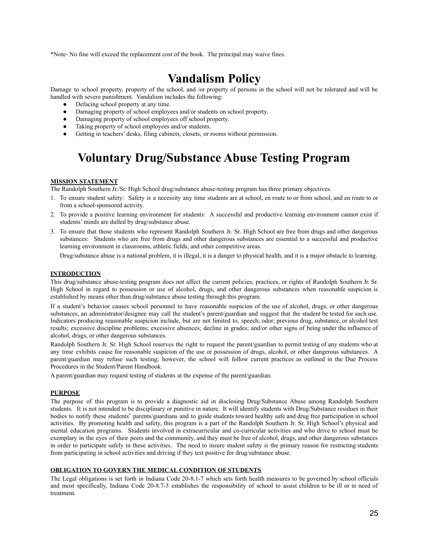<span id="page-24-0"></span>\*Note- No fine will exceed the replacement cost of the book. The principal may waive fines.

## **Vandalism Policy**

Damage to school property, property of the school, and /or property of persons in the school will not be tolerated and will be handled with severe punishment. Vandalism includes the following:

- Defacing school property at any time.
- Damaging property of school employees and/or students on school property.
- Damaging property of school employees off school property.
- Taking property of school employees and/or students.
- <span id="page-24-1"></span>Getting in teachers' desks, filing cabinets, closets, or rooms without permission.

## **Voluntary Drug/Substance Abuse Testing Program**

#### **MISSION STATEMENT**

The Randolph Southern Jr./Sr. High School drug/substance abuse-testing program has three primary objectives.

- 1. To ensure student safety: Safety is a necessity any time students are at school, en route to or from school, and en route to or from a school-sponsored activity.
- 2. To provide a positive learning environment for students: A successful and productive learning environment cannot exist if students' minds are dulled by drug/substance abuse.
- 3. To ensure that those students who represent Randolph Southern Jr. Sr. High School are free from drugs and other dangerous substances: Students who are free from drugs and other dangerous substances are essential to a successful and productive learning environment in classrooms, athletic fields, and other competitive areas.

Drug/substance abuse is a national problem, it is illegal, it is a danger to physical health, and it is a major obstacle to learning.

#### **INTRODUCTION**

This drug/substance abuse-testing program does not affect the current policies, practices, or rights of Randolph Southern Jr. Sr. High School in regard to possession or use of alcohol, drugs, and other dangerous substances when reasonable suspicion is established by means other than drug/substance abuse testing through this program.

If a student's behavior causes school personnel to have reasonable suspicion of the use of alcohol, drugs, or other dangerous substances, an administrator/designee may call the student's parent/guardian and suggest that the student be tested for such use. Indicators producing reasonable suspicion include, but are not limited to, speech; odor; previous drug, substance, or alcohol test results; excessive discipline problems; excessive absences; decline in grades; and/or other signs of being under the influence of alcohol, drugs, or other dangerous substances.

Randolph Southern Jr. Sr. High School reserves the right to request the parent/guardian to permit testing of any students who at any time exhibits cause for reasonable suspicion of the use or possession of drugs, alcohol, or other dangerous substances. A parent/guardian may refuse such testing; however, the school will follow current practices as outlined in the Due Process Procedures in the Student/Parent Handbook.

A parent/guardian may request testing of students at the expense of the parent/guardian.

#### **PURPOSE**

The purpose of this program is to provide a diagnostic aid in disclosing Drug/Substance Abuse among Randolph Southern students. It is not intended to be disciplinary or punitive in nature. It will identify students with Drug/Substance residues in their bodies to notify these students' parents/guardians and to guide students toward healthy safe and drug free participation in school activities. By promoting health and safety, this program is a part of the Randolph Southern Jr. Sr. High School's physical and mental education programs. Students involved in extracurricular and co-curricular activities and who drive to school must be exemplary in the eyes of their peers and the community, and they must be free of alcohol, drugs, and other dangerous substances in order to participate safely in these activities. The need to insure student safety is the primary reason for restricting students from participating in school activities and driving if they test positive for drug/substance abuse.

#### **OBLIGATION TO GOVERN THE MEDICAL CONDITION OF STUDENTS**

The Legal obligations is set forth in Indiana Code 20-8.1-7 which sets forth health measures to be governed by school officials and most specifically, Indiana Code 20-8.7-3 establishes the responsibility of school to assist children to be ill or in need of treatment.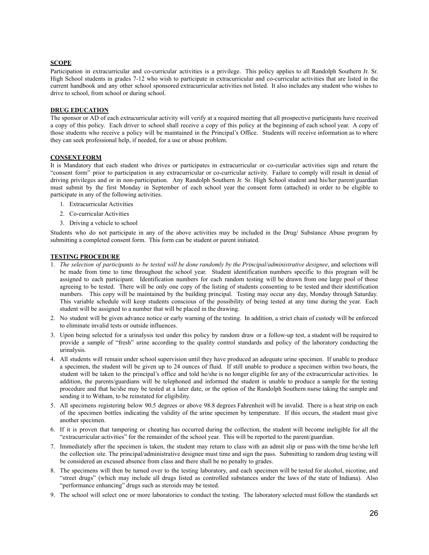#### **SCOPE**

Participation in extracurricular and co-curricular activities is a privilege. This policy applies to all Randolph Southern Jr. Sr. High School students in grades 7-12 who wish to participate in extracurricular and co-curricular activities that are listed in the current handbook and any other school sponsored extracurricular activities not listed. It also includes any student who wishes to drive to school, from school or during school.

#### **DRUG EDUCATION**

The sponsor or AD of each extracurricular activity will verify at a required meeting that all prospective participants have received a copy of this policy. Each driver to school shall receive a copy of this policy at the beginning of each school year. A copy of those students who receive a policy will be maintained in the Principal's Office. Students will receive information as to where they can seek professional help, if needed, for a use or abuse problem.

#### **CONSENT FORM**

It is Mandatory that each student who drives or participates in extracurricular or co-curricular activities sign and return the "consent form" prior to participation in any extracurricular or co-curricular activity. Failure to comply will result in denial of driving privileges and or in non-participation. Any Randolph Southern Jr. Sr. High School student and his/her parent/guardian must submit by the first Monday in September of each school year the consent form (attached) in order to be eligible to participate in any of the following activities.

- 1. Extracurricular Activities
- 2. Co-curricular Activities
- 3. Driving a vehicle to school

Students who do not participate in any of the above activities may be included in the Drug/ Substance Abuse program by submitting a completed consent form. This form can be student or parent initiated.

#### **TESTING PROCEDURE**

- 1. The selection of participants to be tested will be done randomly by the Principal/administrative designee, and selections will be made from time to time throughout the school year. Student identification numbers specific to this program will be assigned to each participant. Identification numbers for each random testing will be drawn from one large pool of those agreeing to be tested. There will be only one copy of the listing of students consenting to be tested and their identification numbers. This copy will be maintained by the building principal. Testing may occur any day, Monday through Saturday. This variable schedule will keep students conscious of the possibility of being tested at any time during the year. Each student will be assigned to a number that will be placed in the drawing.
- 2. No student will be given advance notice or early warning of the testing. In addition, a strict chain of custody will be enforced to eliminate invalid tests or outside influences.
- 3. Upon being selected for a urinalysis test under this policy by random draw or a follow-up test, a student will be required to provide a sample of "fresh" urine according to the quality control standards and policy of the laboratory conducting the urinalysis.
- 4. All students will remain under school supervision until they have produced an adequate urine specimen. If unable to produce a specimen, the student will be given up to 24 ounces of fluid. If still unable to produce a specimen within two hours, the student will be taken to the principal's office and told he/she is no longer eligible for any of the extracurricular activities. In addition, the parents/guardians will be telephoned and informed the student is unable to produce a sample for the testing procedure and that he/she may be tested at a later date, or the option of the Randolph Southern nurse taking the sample and sending it to Witham, to be reinstated for eligibility.
- 5. All specimens registering below 90.5 degrees or above 98.8 degrees Fahrenheit will be invalid. There is a heat strip on each of the specimen bottles indicating the validity of the urine specimen by temperature. If this occurs, the student must give another specimen.
- 6. If it is proven that tampering or cheating has occurred during the collection, the student will become ineligible for all the "extracurricular activities" for the remainder of the school year. This will be reported to the parent/guardian.
- 7. Immediately after the specimen is taken, the student may return to class with an admit slip or pass with the time he/she left the collection site. The principal/administrative designee must time and sign the pass. Submitting to random drug testing will be considered an excused absence from class and there shall be no penalty to grades.
- 8. The specimens will then be turned over to the testing laboratory, and each specimen will be tested for alcohol, nicotine, and "street drugs" (which may include all drugs listed as controlled substances under the laws of the state of Indiana). Also "performance enhancing" drugs such as steroids may be tested.
- 9. The school will select one or more laboratories to conduct the testing. The laboratory selected must follow the standards set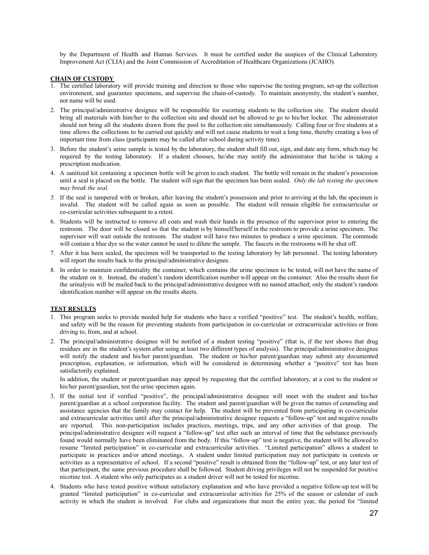by the Department of Health and Human Services. It must be certified under the auspices of the Clinical Laboratory Improvement Act (CLIA) and the Joint Commission of Accreditation of Healthcare Organizations (JCAHO).

#### **CHAIN OF CUSTODY**

- 1. The certified laboratory will provide training and direction to those who supervise the testing program, set-up the collection environment, and guarantee specimens, and supervise the chain-of-custody. To maintain anonymity, the student's number, not name will be used.
- 2. The principal/administrative designee will be responsible for escorting students to the collection site. The student should bring all materials with him/her to the collection site and should not be allowed to go to his/her locker. The administrator should not bring all the students drawn from the pool to the collection site simultaneously. Calling four or five students at a time allows the collections to be carried out quickly and will not cause students to wait a long time, thereby creating a loss of important time from class (participants may be called after school during activity time).
- 3. Before the student's urine sample is tested by the laboratory, the student shall fill out, sign, and date any form, which may be required by the testing laboratory. If a student chooses, he/she may notify the administrator that he/she is taking a prescription medication.
- 4. A sanitized kit containing a specimen bottle will be given to each student. The bottle will remain in the student's possession until a seal is placed on the bottle. The student will sign that the specimen has been sealed. *Only the lab testing the specimen may break the seal.*
- *5.* If the seal is tampered with or broken, after leaving the student's possession and prior to arriving at the lab, the specimen is invalid. The student will be called again as soon as possible. The student will remain eligible for extracurricular or co-curricular activities subsequent to a retest.
- 6. Students will be instructed to remove all coats and wash their hands in the presence of the supervisor prior to entering the restroom. The door will be closed so that the student is by himself/herself in the restroom to provide a urine specimen. The supervisor will wait outside the restroom. The student will have two minutes to produce a urine specimen. The commode will contain a blue dye so the water cannot be used to dilute the sample. The faucets in the restrooms will be shut off.
- 7. After it has been sealed, the specimen will be transported to the testing laboratory by lab personnel. The testing laboratory will report the results back to the principal/administrative designee.
- 8. In order to maintain confidentiality the container, which contains the urine specimen to be tested, will not have the name of the student on it. Instead, the student's random identification number will appear on the container. Also the results sheet for the urinalysis will be mailed back to the principal/administrative designee with no named attached; only the student's random identification number will appear on the results sheets.

#### **TEST RESULTS**

- 1. This program seeks to provide needed help for students who have a verified "positive" test. The student's health, welfare, and safety will be the reason for preventing students from participation in co-curricular or extracurricular activities or from driving to, from, and at school.
- 2. The principal/administrative designee will be notified of a student testing "positive" (that is, if the test shows that drug residues are in the student's system after using at least two different types of analysis). The principal/administrative designee will notify the student and his/her parent/guardian. The student or his/her parent/guardian may submit any documented prescription, explanation, or information, which will be considered in determining whether a "positive" test has been satisfactorily explained.

In addition, the student or parent/guardian may appeal by requesting that the certified laboratory, at a cost to the student or his/her parent/guardian, test the urine specimen again.

- 3. If the initial test if verified "positive", the principal/administrative designee will meet with the student and his/her parent/guardian at a school corporation facility. The student and parent/guardian will be given the names of counseling and assistance agencies that the family may contact for help. The student will be prevented from participating in co-curricular and extracurricular activities until after the principal/administrative designee requests a "follow-up" test and negative results are reported. This non-participation includes practices, meetings, trips, and any other activities of that group. The principal/administrative designee will request a "follow-up" test after such an interval of time that the substance previously found would normally have been eliminated from the body. If this "follow-up" test is negative, the student will be allowed to resume "limited participation" in co-curricular and extracurricular activities. "Limited participation" allows a student to participate in practices and/or attend meetings. A student under limited participation may not participate in contests or activities as a representative of school. If a second "positive" result is obtained from the "follow-up" test, or any later test of that participant, the same previous procedure shall be followed. Student driving privileges will not be suspended for positive nicotine test. A student who only participates as a student driver will not be tested for nicotine.
- 4. Students who have tested positive without satisfactory explanation and who have provided a negative follow-up test will be granted "limited participation" in co-curricular and extracurricular activities for 25% of the season or calendar of each activity in which the student is involved. For clubs and organizations that meet the entire year, the period for "limited